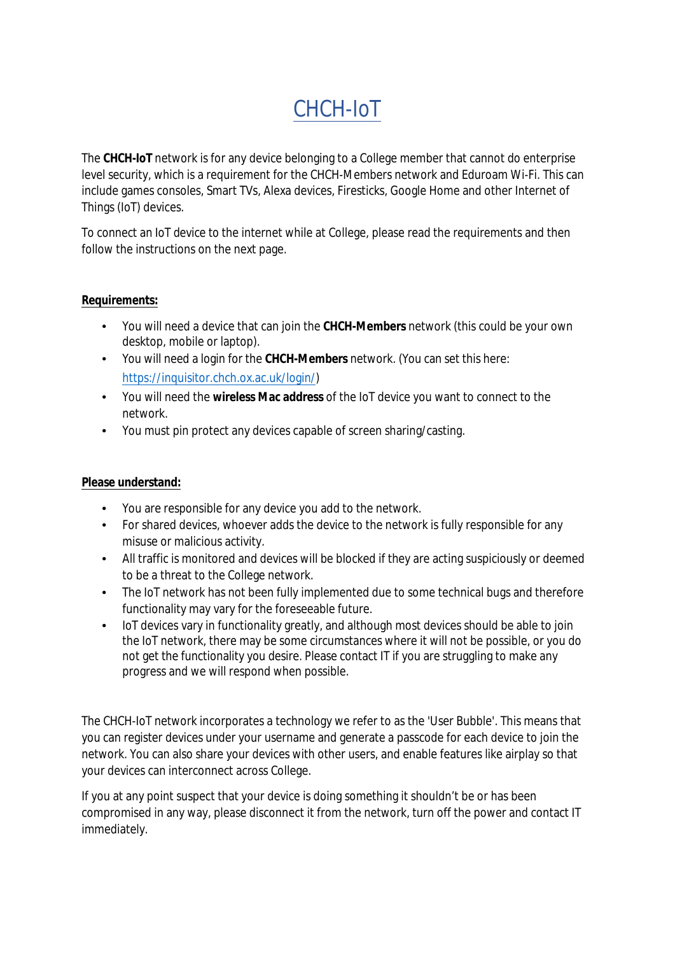# CHCH-IoT

The **CHCH-IoT** network is for any device belonging to a College member that cannot do enterprise level security, which is a requirement for the CHCH-Members network and Eduroam Wi-Fi. This can include games consoles, Smart TVs, Alexa devices, Firesticks, Google Home and other Internet of Things (IoT) devices.

To connect an IoT device to the internet while at College, please read the requirements and then follow the instructions on the next page.

### **Requirements:**

- You will need a device that can join the **CHCH-Members** [network \(this could be your own](https://inquisitor.chch.ox.ac.uk/login/)  desktop, mobile or laptop).
- You will need a login for the **CHCH-Members** network. (You can set this here: https://inquisitor.chch.ox.ac.uk/login/)
- You will need the **wireless Mac address** of the IoT device you want to connect to the network.
- You must pin protect any devices capable of screen sharing/casting.

### **Please understand:**

- You are responsible for any device you add to the network.
- For shared devices, whoever adds the device to the network is fully responsible for any misuse or malicious activity.
- All traffic is monitored and devices will be blocked if they are acting suspiciously or deemed to be a threat to the College network.
- The IoT network has not been fully implemented due to some technical bugs and therefore functionality may vary for the foreseeable future.
- IoT devices vary in functionality greatly, and although most devices should be able to join the IoT network, there may be some circumstances where it will not be possible, or you do not get the functionality you desire. Please contact IT if you are struggling to make any progress and we will respond when possible.

The CHCH-IoT network incorporates a technology we refer to as the 'User Bubble'. This means that you can register devices under your username and generate a passcode for each device to join the network. You can also share your devices with other users, and enable features like airplay so that your devices can interconnect across College.

If you at any point suspect that your device is doing something it shouldn't be or has been compromised in any way, please disconnect it from the network, turn off the power and contact IT immedi[ately.](https://governance.admin.ox.ac.uk/legislation/it-regulations-1-of-2002)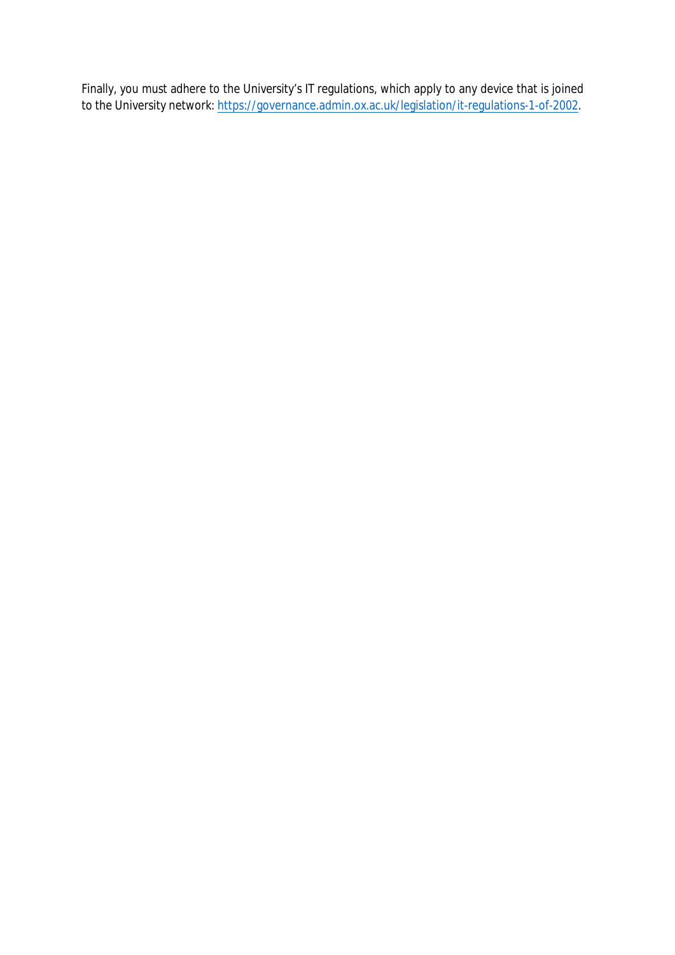Finally, you must adhere to the University's IT regulations, which apply to any device that is joined to the University network: https://governance.admin.ox.ac.uk/legislation/it-regulations-1-of-2002.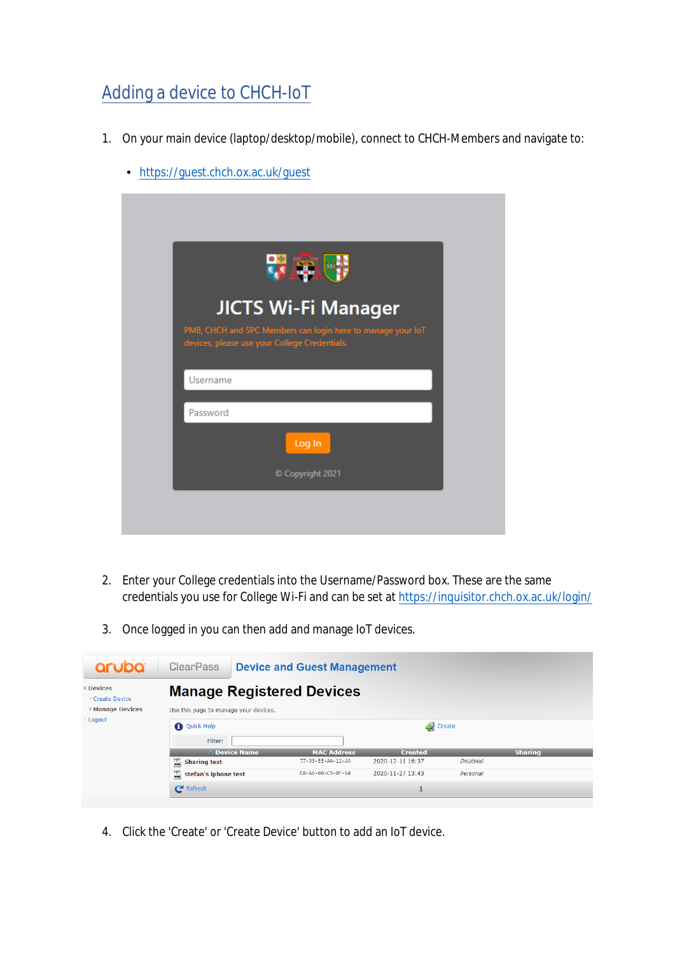## Adding a device to CHCH-IoT

- 1. On your main device (laptop/desktop/mobile), connect to CHCH-Members and navigate to:
	- <https://guest.chch.ox.ac.uk/guest>

|          | <b>JICTS Wi-Fi Manager</b><br>PMB, CHCH and SPC Members can login here to manage your loT<br>devices, please use your College Credentials. |
|----------|--------------------------------------------------------------------------------------------------------------------------------------------|
| Username |                                                                                                                                            |
| Password |                                                                                                                                            |
|          | Log In                                                                                                                                     |
|          | C Copyright 2021                                                                                                                           |

- 2. Enter your College credentials into the Username/Password box. These are the same credentials you use for College Wi-Fi and can be set at<https://inquisitor.chch.ox.ac.uk/login/>
- 3. Once logged in you can then add and manage IoT devices.



4. Click the 'Create' or 'Create Device' button to add an IoT device.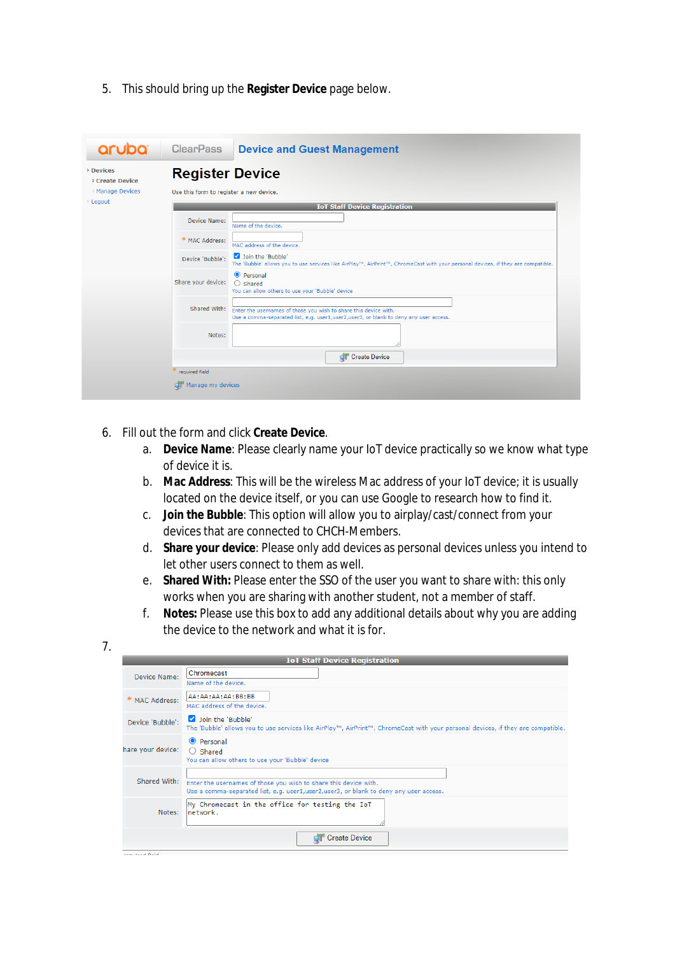5. This should bring up the **Register Device** page below.

| <b>Devices</b><br><b>Create Device</b> | <b>Register Device</b>                                                                                                                                                    |                                                                                                                                  |  |  |
|----------------------------------------|---------------------------------------------------------------------------------------------------------------------------------------------------------------------------|----------------------------------------------------------------------------------------------------------------------------------|--|--|
| Manage Devices<br>> Logout             | Use this form to register a new device.                                                                                                                                   |                                                                                                                                  |  |  |
|                                        | <b>IoT Staff Device Registration</b>                                                                                                                                      |                                                                                                                                  |  |  |
|                                        | <b>Device Name:</b><br>Name of the device.                                                                                                                                |                                                                                                                                  |  |  |
|                                        | * MAC Address:<br>MAC address of the device.                                                                                                                              |                                                                                                                                  |  |  |
|                                        | Join the 'Bubble'<br>Device 'Bubble':                                                                                                                                     | The 'Bubble' allows you to use services like AirPlay™, AirPrint™, ChromeCast with your personal devices, if they are compatible. |  |  |
|                                        | <b>O</b> Personal<br>Share your device:<br>$\bigcirc$ Shared<br>You can allow others to use your 'Bubble' device                                                          |                                                                                                                                  |  |  |
|                                        | Shared With:<br>Enter the usernames of those you wish to share this device with.<br>Use a comma-separated list, e.g. user1,user2,user3, or blank to deny any user access. |                                                                                                                                  |  |  |
|                                        | Notes:                                                                                                                                                                    |                                                                                                                                  |  |  |
|                                        | <b>Create Device</b>                                                                                                                                                      |                                                                                                                                  |  |  |
|                                        | required field                                                                                                                                                            |                                                                                                                                  |  |  |

#### 6. Fill out the form and click **Create Device**.

- a. **Device Name**: Please clearly name your IoT device practically so we know what type of device it is.
- b. **Mac Address**: This will be the wireless Mac address of your IoT device; it is usually located on the device itself, or you can use Google to research how to find it.
- c. **Join the Bubble**: This option will allow you to airplay/cast/connect from your devices that are connected to CHCH-Members.
- d. **Share your device**: Please only add devices as personal devices unless you intend to let other users connect to them as well.
- e. **Shared With:** Please enter the SSO of the user you want to share with: this only works when you are sharing with another student, not a member of staff.
- f. **Notes:** Please use this box to add any additional details about why you are adding the device to the network and what it is for.

| <b>IoT Staff Device Registration</b> |                                                                                                                                                             |  |  |  |
|--------------------------------------|-------------------------------------------------------------------------------------------------------------------------------------------------------------|--|--|--|
| Device Name:                         | Chromecast<br>Name of the device.                                                                                                                           |  |  |  |
| * MAC Address:                       | AA:AA:AA:AA:BB:BB<br>MAC address of the device.                                                                                                             |  |  |  |
| Device 'Bubble':                     | Join the 'Bubble'<br>The 'Bubble' allows you to use services like AirPlay™, AirPrint™, ChromeCast with your personal devices, if they are compatible.       |  |  |  |
| hare your device:                    | <b>O</b> Personal<br>$\bigcirc$ Shared<br>You can allow others to use your 'Bubble' device                                                                  |  |  |  |
| Shared With:                         | Enter the usernames of those you wish to share this device with.<br>Use a comma-separated list, e.g. user1, user2, user3, or blank to deny any user access. |  |  |  |
| Notes:                               | My Chromecast in the office for testing the IoT<br>network.                                                                                                 |  |  |  |
| .                                    | <b>Create Device</b>                                                                                                                                        |  |  |  |

7.